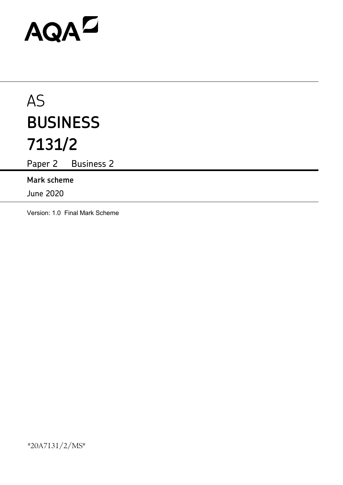# AQAD

# AS **BUSINESS 7131/2**

Paper 2 Business 2

# **Mark scheme**

June 2020

Version: 1.0 Final Mark Scheme

\*20A7131/2/MS\*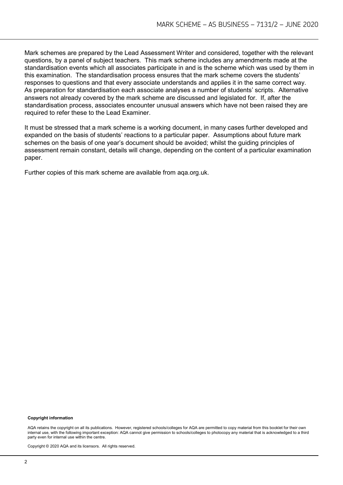Mark schemes are prepared by the Lead Assessment Writer and considered, together with the relevant questions, by a panel of subject teachers. This mark scheme includes any amendments made at the standardisation events which all associates participate in and is the scheme which was used by them in this examination. The standardisation process ensures that the mark scheme covers the students' responses to questions and that every associate understands and applies it in the same correct way. As preparation for standardisation each associate analyses a number of students' scripts. Alternative answers not already covered by the mark scheme are discussed and legislated for. If, after the standardisation process, associates encounter unusual answers which have not been raised they are required to refer these to the Lead Examiner.

It must be stressed that a mark scheme is a working document, in many cases further developed and expanded on the basis of students' reactions to a particular paper. Assumptions about future mark schemes on the basis of one year's document should be avoided; whilst the guiding principles of assessment remain constant, details will change, depending on the content of a particular examination paper.

Further copies of this mark scheme are available from aqa.org.uk.

#### **Copyright information**

AQA retains the copyright on all its publications. However, registered schools/colleges for AQA are permitted to copy material from this booklet for their own internal use, with the following important exception: AQA cannot give permission to schools/colleges to photocopy any material that is acknowledged to a third party even for internal use within the centre.

Copyright © 2020 AQA and its licensors. All rights reserved.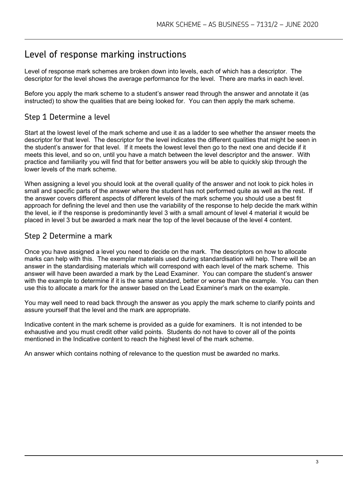# Level of response marking instructions

Level of response mark schemes are broken down into levels, each of which has a descriptor. The descriptor for the level shows the average performance for the level. There are marks in each level.

Before you apply the mark scheme to a student's answer read through the answer and annotate it (as instructed) to show the qualities that are being looked for. You can then apply the mark scheme.

## Step 1 Determine a level

Start at the lowest level of the mark scheme and use it as a ladder to see whether the answer meets the descriptor for that level. The descriptor for the level indicates the different qualities that might be seen in the student's answer for that level. If it meets the lowest level then go to the next one and decide if it meets this level, and so on, until you have a match between the level descriptor and the answer. With practice and familiarity you will find that for better answers you will be able to quickly skip through the lower levels of the mark scheme.

When assigning a level you should look at the overall quality of the answer and not look to pick holes in small and specific parts of the answer where the student has not performed quite as well as the rest. If the answer covers different aspects of different levels of the mark scheme you should use a best fit approach for defining the level and then use the variability of the response to help decide the mark within the level, ie if the response is predominantly level 3 with a small amount of level 4 material it would be placed in level 3 but be awarded a mark near the top of the level because of the level 4 content.

### Step 2 Determine a mark

Once you have assigned a level you need to decide on the mark. The descriptors on how to allocate marks can help with this. The exemplar materials used during standardisation will help. There will be an answer in the standardising materials which will correspond with each level of the mark scheme. This answer will have been awarded a mark by the Lead Examiner. You can compare the student's answer with the example to determine if it is the same standard, better or worse than the example. You can then use this to allocate a mark for the answer based on the Lead Examiner's mark on the example.

You may well need to read back through the answer as you apply the mark scheme to clarify points and assure yourself that the level and the mark are appropriate.

Indicative content in the mark scheme is provided as a guide for examiners. It is not intended to be exhaustive and you must credit other valid points. Students do not have to cover all of the points mentioned in the Indicative content to reach the highest level of the mark scheme.

An answer which contains nothing of relevance to the question must be awarded no marks.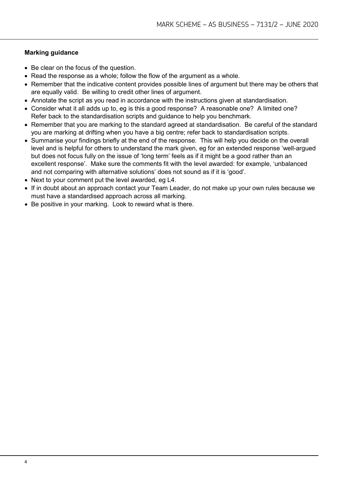#### **Marking guidance**

- Be clear on the focus of the question.
- Read the response as a whole; follow the flow of the argument as a whole.
- Remember that the indicative content provides possible lines of argument but there may be others that are equally valid. Be willing to credit other lines of argument.
- Annotate the script as you read in accordance with the instructions given at standardisation.
- Consider what it all adds up to, eg is this a good response? A reasonable one? A limited one? Refer back to the standardisation scripts and guidance to help you benchmark.
- Remember that you are marking to the standard agreed at standardisation. Be careful of the standard you are marking at drifting when you have a big centre; refer back to standardisation scripts.
- Summarise your findings briefly at the end of the response. This will help you decide on the overall level and is helpful for others to understand the mark given, eg for an extended response 'well-argued but does not focus fully on the issue of 'long term' feels as if it might be a good rather than an excellent response'. Make sure the comments fit with the level awarded: for example, 'unbalanced and not comparing with alternative solutions' does not sound as if it is 'good'.
- Next to your comment put the level awarded, eg L4.
- If in doubt about an approach contact your Team Leader, do not make up your own rules because we must have a standardised approach across all marking.
- Be positive in your marking. Look to reward what is there.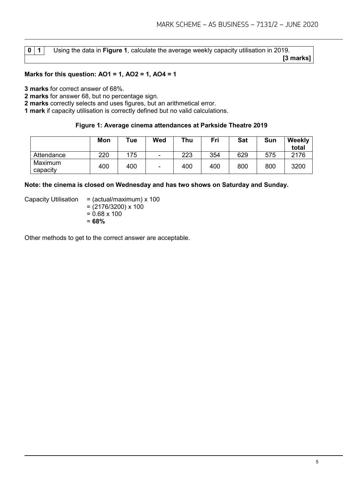|--|

**0 1** Using the data in **Figure 1**, calculate the average weekly capacity utilisation in 2019.  **[3 marks]**

#### **Marks for this question: AO1 = 1, AO2 = 1, AO4 = 1**

**3 marks** for correct answer of 68%.

**2 marks** for answer 68, but no percentage sign.

**2 marks** correctly selects and uses figures, but an arithmetical error.

**1 mark** if capacity utilisation is correctly defined but no valid calculations.

#### **Figure 1: Average cinema attendances at Parkside Theatre 2019**

|                     | Mon | T <sub>u</sub> e | Wed    | Thu | Fri | Sat | Sun | <b>Weekly</b><br>total |
|---------------------|-----|------------------|--------|-----|-----|-----|-----|------------------------|
| Attendance          | 220 | 175              | $\sim$ | 223 | 354 | 629 | 575 | 2176                   |
| Maximum<br>capacity | 400 | 400              | ۰      | 400 | 400 | 800 | 800 | 3200                   |

#### **Note: the cinema is closed on Wednesday and has two shows on Saturday and Sunday.**

Capacity Utilisation =  $(actual/maximum) \times 100$ 

 $= (2176/3200) \times 100$ 

 $= 0.68 \times 100$ 

= **68%**

Other methods to get to the correct answer are acceptable.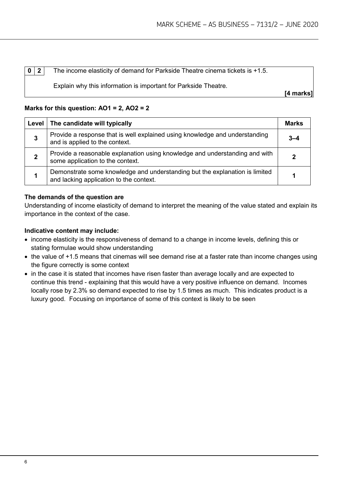**0** | **2** | The income elasticity of demand for Parkside Theatre cinema tickets is +1.5.

Explain why this information is important for Parkside Theatre.

 **[4 marks]**

#### **Marks for this question: AO1 = 2, AO2 = 2**

|   | Level   The candidate will typically                                                                                   | Marks |
|---|------------------------------------------------------------------------------------------------------------------------|-------|
| 3 | Provide a response that is well explained using knowledge and understanding<br>and is applied to the context.          | 3–4   |
|   | Provide a reasonable explanation using knowledge and understanding and with<br>some application to the context.        |       |
|   | Demonstrate some knowledge and understanding but the explanation is limited<br>and lacking application to the context. |       |

#### **The demands of the question are**

Understanding of income elasticity of demand to interpret the meaning of the value stated and explain its importance in the context of the case.

- income elasticity is the responsiveness of demand to a change in income levels, defining this or stating formulae would show understanding
- the value of +1.5 means that cinemas will see demand rise at a faster rate than income changes using the figure correctly is some context
- in the case it is stated that incomes have risen faster than average locally and are expected to continue this trend - explaining that this would have a very positive influence on demand. Incomes locally rose by 2.3% so demand expected to rise by 1.5 times as much. This indicates product is a luxury good. Focusing on importance of some of this context is likely to be seen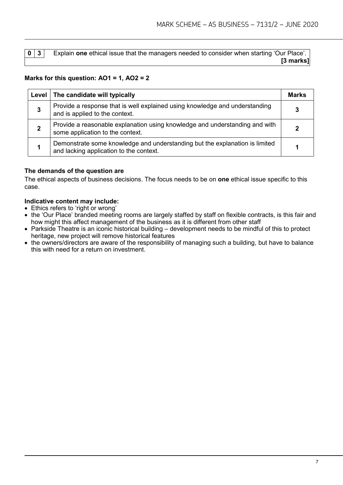| $0 \mid 3 \mid$ | <b>Explain one ethical issue that the managers needed to consider when starting 'Our Place'.</b> |  |
|-----------------|--------------------------------------------------------------------------------------------------|--|
|                 | $[3 \text{ marks}]$                                                                              |  |

#### **Marks for this question: AO1 = 1, AO2 = 2**

| Level   The candidate will typically                                                                                   | Marks |
|------------------------------------------------------------------------------------------------------------------------|-------|
| Provide a response that is well explained using knowledge and understanding<br>and is applied to the context.          |       |
| Provide a reasonable explanation using knowledge and understanding and with<br>some application to the context.        |       |
| Demonstrate some knowledge and understanding but the explanation is limited<br>and lacking application to the context. |       |

#### **The demands of the question are**

The ethical aspects of business decisions. The focus needs to be on **one** ethical issue specific to this case.

- Ethics refers to 'right or wrong'
- the 'Our Place' branded meeting rooms are largely staffed by staff on flexible contracts, is this fair and how might this affect management of the business as it is different from other staff
- Parkside Theatre is an iconic historical building development needs to be mindful of this to protect heritage, new project will remove historical features
- the owners/directors are aware of the responsibility of managing such a building, but have to balance this with need for a return on investment.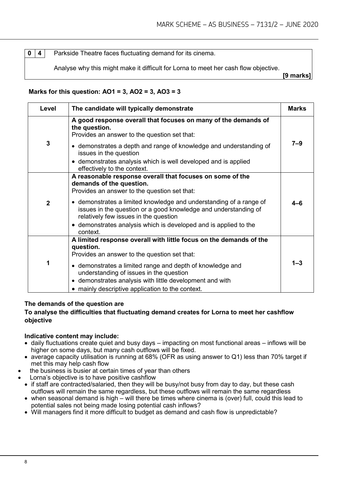**0** | 4 | Parkside Theatre faces fluctuating demand for its cinema.

Analyse why this might make it difficult for Lorna to meet her cash flow objective.

**[9 marks]**

#### **Marks for this question: AO1 = 3, AO2 = 3, AO3 = 3**

| Level          | The candidate will typically demonstrate                                                                                                                                                                                                                                                                                                                                                                | <b>Marks</b> |
|----------------|---------------------------------------------------------------------------------------------------------------------------------------------------------------------------------------------------------------------------------------------------------------------------------------------------------------------------------------------------------------------------------------------------------|--------------|
|                | A good response overall that focuses on many of the demands of<br>the question.<br>Provides an answer to the question set that:                                                                                                                                                                                                                                                                         |              |
| 3              | • demonstrates a depth and range of knowledge and understanding of<br>issues in the question<br>• demonstrates analysis which is well developed and is applied                                                                                                                                                                                                                                          | $7 - 9$      |
|                | effectively to the context.                                                                                                                                                                                                                                                                                                                                                                             |              |
| $\overline{2}$ | A reasonable response overall that focuses on some of the<br>demands of the question.<br>Provides an answer to the question set that:<br>• demonstrates a limited knowledge and understanding of a range of<br>issues in the question or a good knowledge and understanding of<br>relatively few issues in the question<br>• demonstrates analysis which is developed and is applied to the<br>context. | 4–6          |
| 1              | A limited response overall with little focus on the demands of the<br>question.<br>Provides an answer to the question set that:<br>• demonstrates a limited range and depth of knowledge and<br>understanding of issues in the question<br>• demonstrates analysis with little development and with<br>• mainly descriptive application to the context.                                                 | $1 - 3$      |

#### **The demands of the question are**

#### **To analyse the difficulties that fluctuating demand creates for Lorna to meet her cashflow objective**

- daily fluctuations create quiet and busy days impacting on most functional areas inflows will be higher on some days, but many cash outflows will be fixed.
- average capacity utilisation is running at 68% (OFR as using answer to Q1) less than 70% target if met this may help cash flow
- the business is busier at certain times of year than others
- Lorna's objective is to have positive cashflow
- if staff are contracted/salaried, then they will be busy/not busy from day to day, but these cash outflows will remain the same regardless, but these outflows will remain the same regardless
- when seasonal demand is high will there be times where cinema is (over) full, could this lead to potential sales not being made losing potential cash inflows?
- Will managers find it more difficult to budget as demand and cash flow is unpredictable?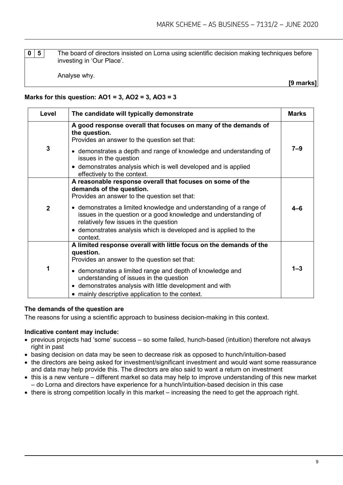**0** | 5 | The board of directors insisted on Lorna using scientific decision making techniques before investing in 'Our Place'.

Analyse why.

**[9 marks]**

#### **Marks for this question: AO1 = 3, AO2 = 3, AO3 = 3**

| Level          | The candidate will typically demonstrate                                                                                                                                                                                                                                                                                                                                                                | <b>Marks</b> |
|----------------|---------------------------------------------------------------------------------------------------------------------------------------------------------------------------------------------------------------------------------------------------------------------------------------------------------------------------------------------------------------------------------------------------------|--------------|
|                | A good response overall that focuses on many of the demands of<br>the question.<br>Provides an answer to the question set that:                                                                                                                                                                                                                                                                         |              |
| 3              | • demonstrates a depth and range of knowledge and understanding of<br>issues in the question                                                                                                                                                                                                                                                                                                            | $7 - 9$      |
|                | • demonstrates analysis which is well developed and is applied<br>effectively to the context.                                                                                                                                                                                                                                                                                                           |              |
| $\overline{2}$ | A reasonable response overall that focuses on some of the<br>demands of the question.<br>Provides an answer to the question set that:<br>• demonstrates a limited knowledge and understanding of a range of<br>issues in the question or a good knowledge and understanding of<br>relatively few issues in the question<br>• demonstrates analysis which is developed and is applied to the<br>context. | $4 - 6$      |
| 1              | A limited response overall with little focus on the demands of the<br>question.<br>Provides an answer to the question set that:<br>• demonstrates a limited range and depth of knowledge and<br>understanding of issues in the question<br>• demonstrates analysis with little development and with<br>• mainly descriptive application to the context.                                                 | $1 - 3$      |

#### **The demands of the question are**

The reasons for using a scientific approach to business decision-making in this context.

- previous projects had 'some' success so some failed, hunch-based (intuition) therefore not always right in past
- basing decision on data may be seen to decrease risk as opposed to hunch/intuition-based
- the directors are being asked for investment/significant investment and would want some reassurance and data may help provide this. The directors are also said to want a return on investment
- this is a new venture different market so data may help to improve understanding of this new market – do Lorna and directors have experience for a hunch/intuition-based decision in this case
- there is strong competition locally in this market increasing the need to get the approach right.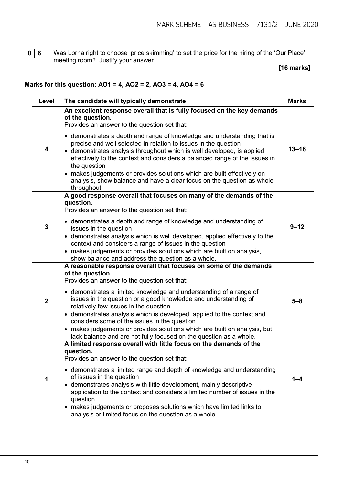**0 6** Was Lorna right to choose 'price skimming' to set the price for the hiring of the 'Our Place' meeting room? Justify your answer.

 **[16 marks]**

#### **Marks for this question: AO1 = 4, AO2 = 2, AO3 = 4, AO4 = 6**

| Level          | The candidate will typically demonstrate                                                                                                                                                                                                                                                                                                                                                                                                                                               | <b>Marks</b> |
|----------------|----------------------------------------------------------------------------------------------------------------------------------------------------------------------------------------------------------------------------------------------------------------------------------------------------------------------------------------------------------------------------------------------------------------------------------------------------------------------------------------|--------------|
|                | An excellent response overall that is fully focused on the key demands<br>of the question.<br>Provides an answer to the question set that:                                                                                                                                                                                                                                                                                                                                             |              |
| 4              | • demonstrates a depth and range of knowledge and understanding that is<br>precise and well selected in relation to issues in the question<br>• demonstrates analysis throughout which is well developed, is applied<br>effectively to the context and considers a balanced range of the issues in<br>the question<br>• makes judgements or provides solutions which are built effectively on<br>analysis, show balance and have a clear focus on the question as whole<br>throughout. | $13 - 16$    |
|                | A good response overall that focuses on many of the demands of the<br>question.                                                                                                                                                                                                                                                                                                                                                                                                        |              |
|                | Provides an answer to the question set that:                                                                                                                                                                                                                                                                                                                                                                                                                                           |              |
| 3              | • demonstrates a depth and range of knowledge and understanding of<br>issues in the question                                                                                                                                                                                                                                                                                                                                                                                           | $9 - 12$     |
|                | • demonstrates analysis which is well developed, applied effectively to the<br>context and considers a range of issues in the question                                                                                                                                                                                                                                                                                                                                                 |              |
|                | • makes judgements or provides solutions which are built on analysis,<br>show balance and address the question as a whole.                                                                                                                                                                                                                                                                                                                                                             |              |
|                | A reasonable response overall that focuses on some of the demands                                                                                                                                                                                                                                                                                                                                                                                                                      |              |
|                | of the question.<br>Provides an answer to the question set that:                                                                                                                                                                                                                                                                                                                                                                                                                       |              |
| $\overline{2}$ | • demonstrates a limited knowledge and understanding of a range of<br>issues in the question or a good knowledge and understanding of<br>relatively few issues in the question<br>• demonstrates analysis which is developed, applied to the context and<br>considers some of the issues in the question<br>• makes judgements or provides solutions which are built on analysis, but                                                                                                  | $5 - 8$      |
|                | lack balance and are not fully focused on the question as a whole.<br>A limited response overall with little focus on the demands of the                                                                                                                                                                                                                                                                                                                                               |              |
|                | question.<br>Provides an answer to the question set that:                                                                                                                                                                                                                                                                                                                                                                                                                              |              |
| 1              | • demonstrates a limited range and depth of knowledge and understanding<br>of issues in the question<br>demonstrates analysis with little development, mainly descriptive<br>application to the context and considers a limited number of issues in the                                                                                                                                                                                                                                | 1–4          |
|                | question<br>• makes judgements or proposes solutions which have limited links to<br>analysis or limited focus on the question as a whole.                                                                                                                                                                                                                                                                                                                                              |              |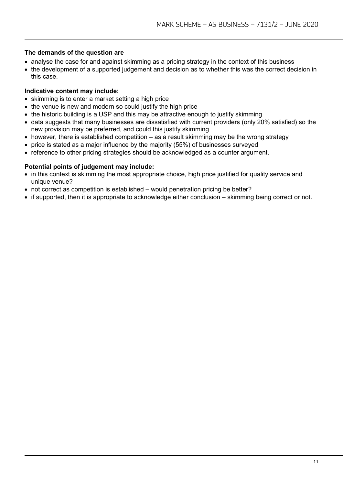#### **The demands of the question are**

- analyse the case for and against skimming as a pricing strategy in the context of this business
- the development of a supported judgement and decision as to whether this was the correct decision in this case.

#### **Indicative content may include:**

- skimming is to enter a market setting a high price
- the venue is new and modern so could justify the high price
- the historic building is a USP and this may be attractive enough to justify skimming
- data suggests that many businesses are dissatisfied with current providers (only 20% satisfied) so the new provision may be preferred, and could this justify skimming
- $\bullet$  however, there is established competition as a result skimming may be the wrong strategy
- price is stated as a major influence by the majority (55%) of businesses surveyed
- reference to other pricing strategies should be acknowledged as a counter argument.

#### **Potential points of judgement may include:**

- in this context is skimming the most appropriate choice, high price justified for quality service and unique venue?
- not correct as competition is established would penetration pricing be better?
- if supported, then it is appropriate to acknowledge either conclusion skimming being correct or not.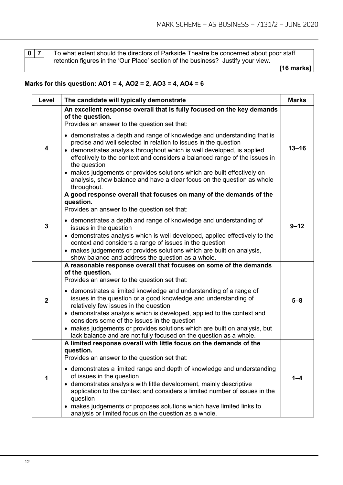**0** | **7** | To what extent should the directors of Parkside Theatre be concerned about poor staff retention figures in the 'Our Place' section of the business? Justify your view.

 **[16 marks]**

#### **Marks for this question: AO1 = 4, AO2 = 2, AO3 = 4, AO4 = 6**

| Level          | The candidate will typically demonstrate                                                                                                                                                                                                                                                                                                                                                                                                                                                                                                                                                             | <b>Marks</b> |
|----------------|------------------------------------------------------------------------------------------------------------------------------------------------------------------------------------------------------------------------------------------------------------------------------------------------------------------------------------------------------------------------------------------------------------------------------------------------------------------------------------------------------------------------------------------------------------------------------------------------------|--------------|
|                | An excellent response overall that is fully focused on the key demands<br>of the question.<br>Provides an answer to the question set that:                                                                                                                                                                                                                                                                                                                                                                                                                                                           |              |
| 4              | • demonstrates a depth and range of knowledge and understanding that is<br>precise and well selected in relation to issues in the question<br>• demonstrates analysis throughout which is well developed, is applied<br>effectively to the context and considers a balanced range of the issues in<br>the question<br>• makes judgements or provides solutions which are built effectively on<br>analysis, show balance and have a clear focus on the question as whole<br>throughout.                                                                                                               | $13 - 16$    |
|                | A good response overall that focuses on many of the demands of the<br>question.<br>Provides an answer to the question set that:                                                                                                                                                                                                                                                                                                                                                                                                                                                                      |              |
| 3              | • demonstrates a depth and range of knowledge and understanding of<br>issues in the question<br>• demonstrates analysis which is well developed, applied effectively to the<br>context and considers a range of issues in the question<br>• makes judgements or provides solutions which are built on analysis,<br>show balance and address the question as a whole.                                                                                                                                                                                                                                 | $9 - 12$     |
| $\overline{2}$ | A reasonable response overall that focuses on some of the demands<br>of the question.<br>Provides an answer to the question set that:<br>• demonstrates a limited knowledge and understanding of a range of<br>issues in the question or a good knowledge and understanding of<br>relatively few issues in the question<br>• demonstrates analysis which is developed, applied to the context and<br>considers some of the issues in the question<br>• makes judgements or provides solutions which are built on analysis, but<br>lack balance and are not fully focused on the question as a whole. | $5 - 8$      |
| 1              | A limited response overall with little focus on the demands of the<br>question.<br>Provides an answer to the question set that:<br>• demonstrates a limited range and depth of knowledge and understanding<br>of issues in the question<br>demonstrates analysis with little development, mainly descriptive<br>application to the context and considers a limited number of issues in the<br>question<br>• makes judgements or proposes solutions which have limited links to<br>analysis or limited focus on the question as a whole.                                                              | 1–4          |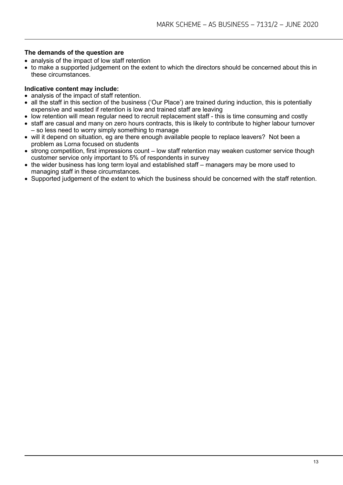#### **The demands of the question are**

- analysis of the impact of low staff retention
- to make a supported judgement on the extent to which the directors should be concerned about this in these circumstances.

- analysis of the impact of staff retention.
- all the staff in this section of the business ('Our Place') are trained during induction, this is potentially expensive and wasted if retention is low and trained staff are leaving
- low retention will mean regular need to recruit replacement staff this is time consuming and costly
- staff are casual and many on zero hours contracts, this is likely to contribute to higher labour turnover – so less need to worry simply something to manage
- will it depend on situation, eg are there enough available people to replace leavers? Not been a problem as Lorna focused on students
- strong competition, first impressions count low staff retention may weaken customer service though customer service only important to 5% of respondents in survey
- the wider business has long term loyal and established staff managers may be more used to managing staff in these circumstances.
- Supported judgement of the extent to which the business should be concerned with the staff retention.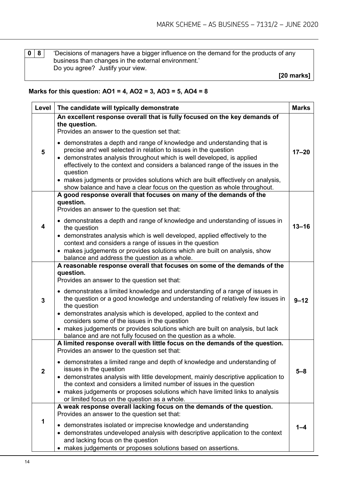**0 8** 'Decisions of managers have a bigger influence on the demand for the products of any business than changes in the external environment.' Do you agree? Justify your view.

 **[20 marks]**

#### **Marks for this question: AO1 = 4, AO2 = 3, AO3 = 5, AO4 = 8**

| Level          | The candidate will typically demonstrate                                                                                                                                                                                                                                                                                                                                                                                                                                                                                                                                                                                         | <b>Marks</b> |
|----------------|----------------------------------------------------------------------------------------------------------------------------------------------------------------------------------------------------------------------------------------------------------------------------------------------------------------------------------------------------------------------------------------------------------------------------------------------------------------------------------------------------------------------------------------------------------------------------------------------------------------------------------|--------------|
| 5              | An excellent response overall that is fully focused on the key demands of<br>the question.<br>Provides an answer to the question set that:<br>• demonstrates a depth and range of knowledge and understanding that is<br>precise and well selected in relation to issues in the question<br>• demonstrates analysis throughout which is well developed, is applied<br>effectively to the context and considers a balanced range of the issues in the<br>question<br>• makes judgments or provides solutions which are built effectively on analysis,<br>show balance and have a clear focus on the question as whole throughout. | $17 - 20$    |
| 4              | A good response overall that focuses on many of the demands of the<br>question.<br>Provides an answer to the question set that:<br>• demonstrates a depth and range of knowledge and understanding of issues in<br>the question<br>• demonstrates analysis which is well developed, applied effectively to the<br>context and considers a range of issues in the question<br>• makes judgements or provides solutions which are built on analysis, show<br>balance and address the question as a whole.                                                                                                                          | $13 - 16$    |
| 3              | A reasonable response overall that focuses on some of the demands of the<br>question.<br>Provides an answer to the question set that:<br>• demonstrates a limited knowledge and understanding of a range of issues in<br>the question or a good knowledge and understanding of relatively few issues in<br>the question<br>• demonstrates analysis which is developed, applied to the context and<br>considers some of the issues in the question<br>• makes judgements or provides solutions which are built on analysis, but lack<br>balance and are not fully focused on the question as a whole.                             | $9 - 12$     |
| $\overline{2}$ | A limited response overall with little focus on the demands of the question.<br>Provides an answer to the question set that:<br>• demonstrates a limited range and depth of knowledge and understanding of<br>issues in the question<br>• demonstrates analysis with little development, mainly descriptive application to<br>the context and considers a limited number of issues in the question<br>• makes judgements or proposes solutions which have limited links to analysis<br>or limited focus on the question as a whole.                                                                                              | $5 - 8$      |
| 1              | A weak response overall lacking focus on the demands of the question.<br>Provides an answer to the question set that:<br>• demonstrates isolated or imprecise knowledge and understanding<br>• demonstrates undeveloped analysis with descriptive application to the context<br>and lacking focus on the question<br>makes judgements or proposes solutions based on assertions.                                                                                                                                                                                                                                                 | 1-4          |